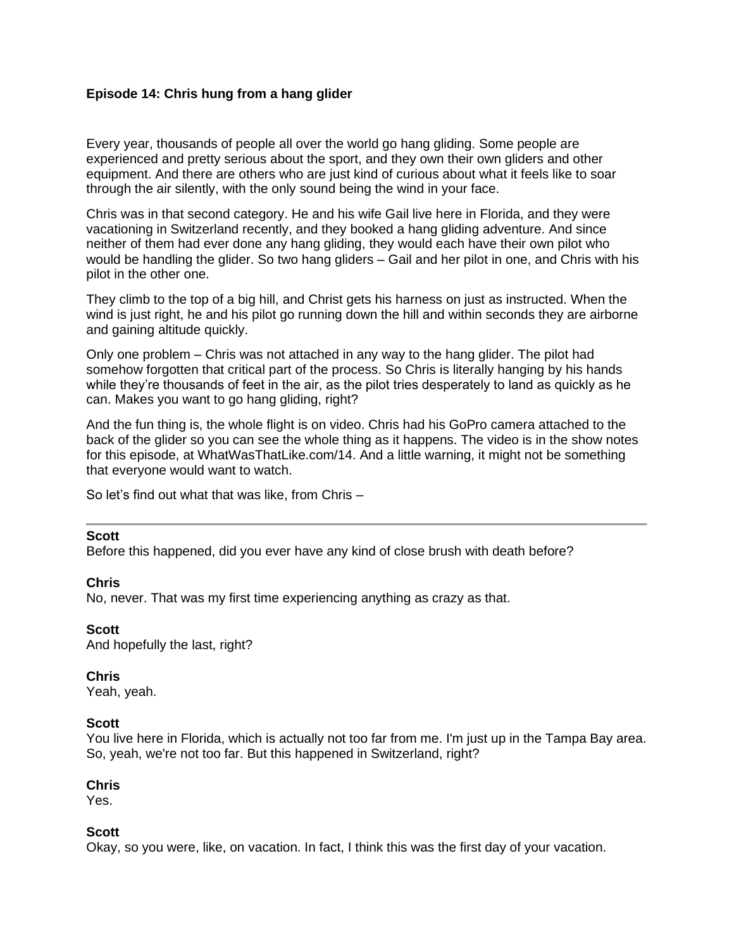## **Episode 14: Chris hung from a hang glider**

Every year, thousands of people all over the world go hang gliding. Some people are experienced and pretty serious about the sport, and they own their own gliders and other equipment. And there are others who are just kind of curious about what it feels like to soar through the air silently, with the only sound being the wind in your face.

Chris was in that second category. He and his wife Gail live here in Florida, and they were vacationing in Switzerland recently, and they booked a hang gliding adventure. And since neither of them had ever done any hang gliding, they would each have their own pilot who would be handling the glider. So two hang gliders – Gail and her pilot in one, and Chris with his pilot in the other one.

They climb to the top of a big hill, and Christ gets his harness on just as instructed. When the wind is just right, he and his pilot go running down the hill and within seconds they are airborne and gaining altitude quickly.

Only one problem – Chris was not attached in any way to the hang glider. The pilot had somehow forgotten that critical part of the process. So Chris is literally hanging by his hands while they're thousands of feet in the air, as the pilot tries desperately to land as quickly as he can. Makes you want to go hang gliding, right?

And the fun thing is, the whole flight is on video. Chris had his GoPro camera attached to the back of the glider so you can see the whole thing as it happens. The video is in the show notes for this episode, at WhatWasThatLike.com/14. And a little warning, it might not be something that everyone would want to watch.

So let's find out what that was like, from Chris –

#### **Scott**

Before this happened, did you ever have any kind of close brush with death before?

#### **Chris**

No, never. That was my first time experiencing anything as crazy as that.

#### **Scott**

And hopefully the last, right?

#### **Chris**

Yeah, yeah.

#### **Scott**

You live here in Florida, which is actually not too far from me. I'm just up in the Tampa Bay area. So, yeah, we're not too far. But this happened in Switzerland, right?

#### **Chris**

Yes.

#### **Scott**

Okay, so you were, like, on vacation. In fact, I think this was the first day of your vacation.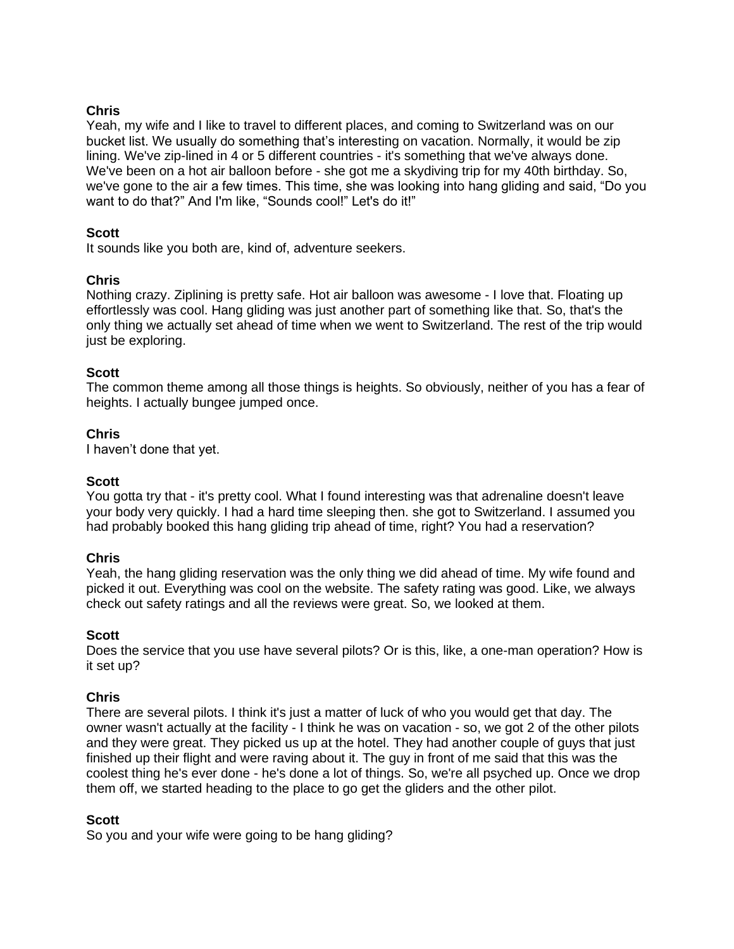Yeah, my wife and I like to travel to different places, and coming to Switzerland was on our bucket list. We usually do something that's interesting on vacation. Normally, it would be zip lining. We've zip-lined in 4 or 5 different countries - it's something that we've always done. We've been on a hot air balloon before - she got me a skydiving trip for my 40th birthday. So, we've gone to the air a few times. This time, she was looking into hang gliding and said, "Do you want to do that?" And I'm like, "Sounds cool!" Let's do it!"

#### **Scott**

It sounds like you both are, kind of, adventure seekers.

### **Chris**

Nothing crazy. Ziplining is pretty safe. Hot air balloon was awesome - I love that. Floating up effortlessly was cool. Hang gliding was just another part of something like that. So, that's the only thing we actually set ahead of time when we went to Switzerland. The rest of the trip would just be exploring.

#### **Scott**

The common theme among all those things is heights. So obviously, neither of you has a fear of heights. I actually bungee jumped once.

#### **Chris**

I haven't done that yet.

#### **Scott**

You gotta try that - it's pretty cool. What I found interesting was that adrenaline doesn't leave your body very quickly. I had a hard time sleeping then. she got to Switzerland. I assumed you had probably booked this hang gliding trip ahead of time, right? You had a reservation?

#### **Chris**

Yeah, the hang gliding reservation was the only thing we did ahead of time. My wife found and picked it out. Everything was cool on the website. The safety rating was good. Like, we always check out safety ratings and all the reviews were great. So, we looked at them.

#### **Scott**

Does the service that you use have several pilots? Or is this, like, a one-man operation? How is it set up?

#### **Chris**

There are several pilots. I think it's just a matter of luck of who you would get that day. The owner wasn't actually at the facility - I think he was on vacation - so, we got 2 of the other pilots and they were great. They picked us up at the hotel. They had another couple of guys that just finished up their flight and were raving about it. The guy in front of me said that this was the coolest thing he's ever done - he's done a lot of things. So, we're all psyched up. Once we drop them off, we started heading to the place to go get the gliders and the other pilot.

#### **Scott**

So you and your wife were going to be hang gliding?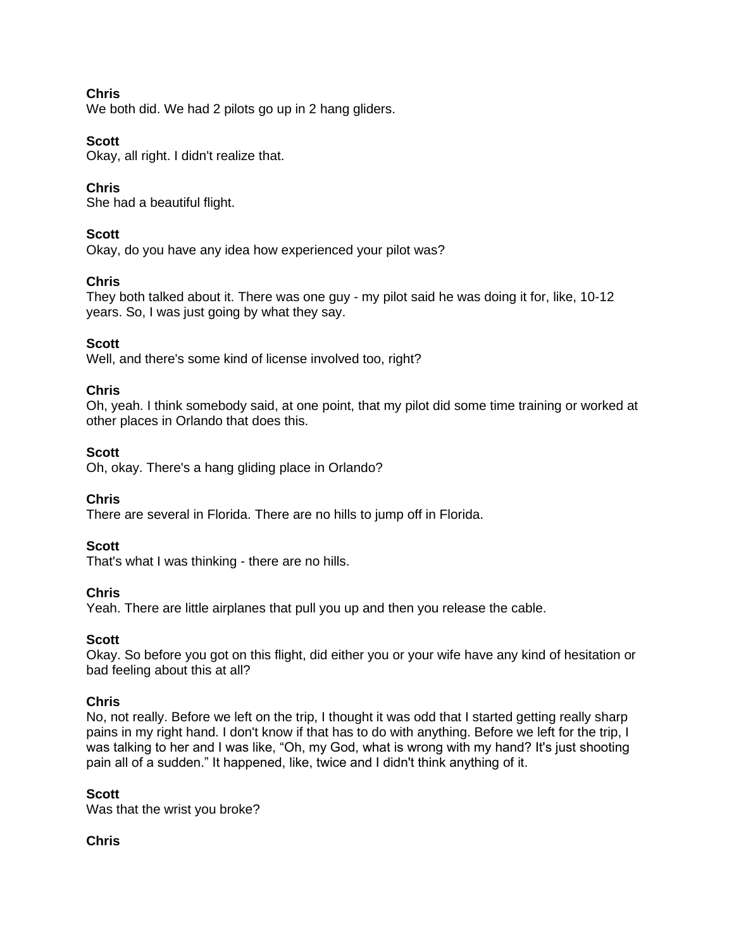We both did. We had 2 pilots go up in 2 hang gliders.

# **Scott**

Okay, all right. I didn't realize that.

# **Chris**

She had a beautiful flight.

# **Scott**

Okay, do you have any idea how experienced your pilot was?

# **Chris**

They both talked about it. There was one guy - my pilot said he was doing it for, like, 10-12 years. So, I was just going by what they say.

# **Scott**

Well, and there's some kind of license involved too, right?

## **Chris**

Oh, yeah. I think somebody said, at one point, that my pilot did some time training or worked at other places in Orlando that does this.

## **Scott**

Oh, okay. There's a hang gliding place in Orlando?

## **Chris**

There are several in Florida. There are no hills to jump off in Florida.

## **Scott**

That's what I was thinking - there are no hills.

## **Chris**

Yeah. There are little airplanes that pull you up and then you release the cable.

## **Scott**

Okay. So before you got on this flight, did either you or your wife have any kind of hesitation or bad feeling about this at all?

## **Chris**

No, not really. Before we left on the trip, I thought it was odd that I started getting really sharp pains in my right hand. I don't know if that has to do with anything. Before we left for the trip, I was talking to her and I was like, "Oh, my God, what is wrong with my hand? It's just shooting pain all of a sudden." It happened, like, twice and I didn't think anything of it.

## **Scott**

Was that the wrist you broke?

## **Chris**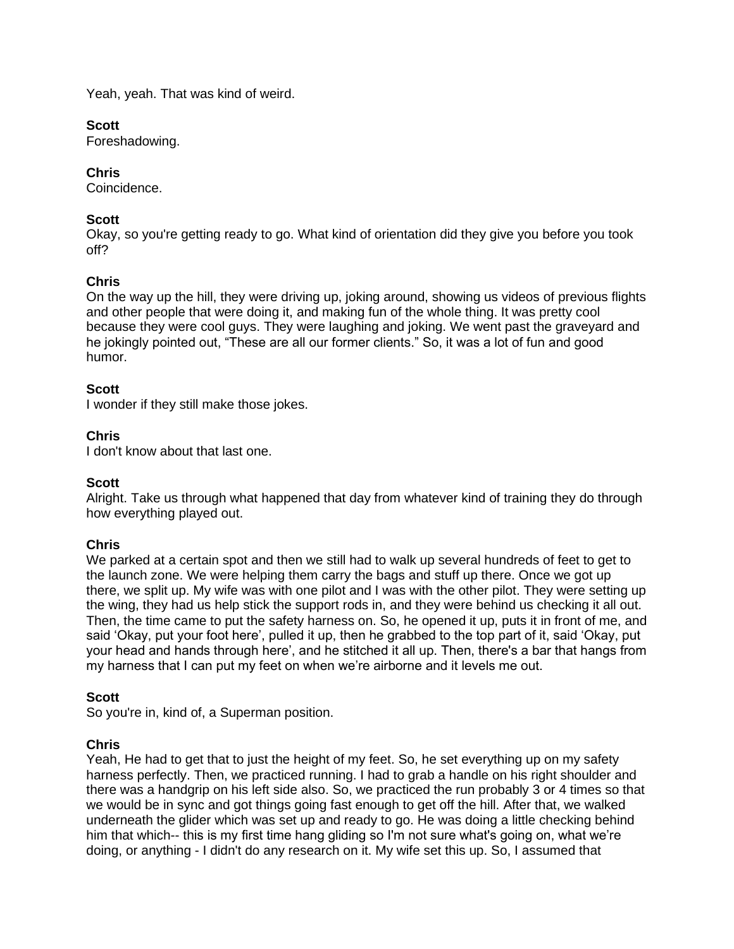Yeah, yeah. That was kind of weird.

### **Scott**

Foreshadowing.

# **Chris**

Coincidence.

# **Scott**

Okay, so you're getting ready to go. What kind of orientation did they give you before you took off?

# **Chris**

On the way up the hill, they were driving up, joking around, showing us videos of previous flights and other people that were doing it, and making fun of the whole thing. It was pretty cool because they were cool guys. They were laughing and joking. We went past the graveyard and he jokingly pointed out, "These are all our former clients." So, it was a lot of fun and good humor.

### **Scott**

I wonder if they still make those jokes.

## **Chris**

I don't know about that last one.

## **Scott**

Alright. Take us through what happened that day from whatever kind of training they do through how everything played out.

## **Chris**

We parked at a certain spot and then we still had to walk up several hundreds of feet to get to the launch zone. We were helping them carry the bags and stuff up there. Once we got up there, we split up. My wife was with one pilot and I was with the other pilot. They were setting up the wing, they had us help stick the support rods in, and they were behind us checking it all out. Then, the time came to put the safety harness on. So, he opened it up, puts it in front of me, and said 'Okay, put your foot here', pulled it up, then he grabbed to the top part of it, said 'Okay, put your head and hands through here', and he stitched it all up. Then, there's a bar that hangs from my harness that I can put my feet on when we're airborne and it levels me out.

#### **Scott**

So you're in, kind of, a Superman position.

## **Chris**

Yeah, He had to get that to just the height of my feet. So, he set everything up on my safety harness perfectly. Then, we practiced running. I had to grab a handle on his right shoulder and there was a handgrip on his left side also. So, we practiced the run probably 3 or 4 times so that we would be in sync and got things going fast enough to get off the hill. After that, we walked underneath the glider which was set up and ready to go. He was doing a little checking behind him that which-- this is my first time hang gliding so I'm not sure what's going on, what we're doing, or anything - I didn't do any research on it. My wife set this up. So, I assumed that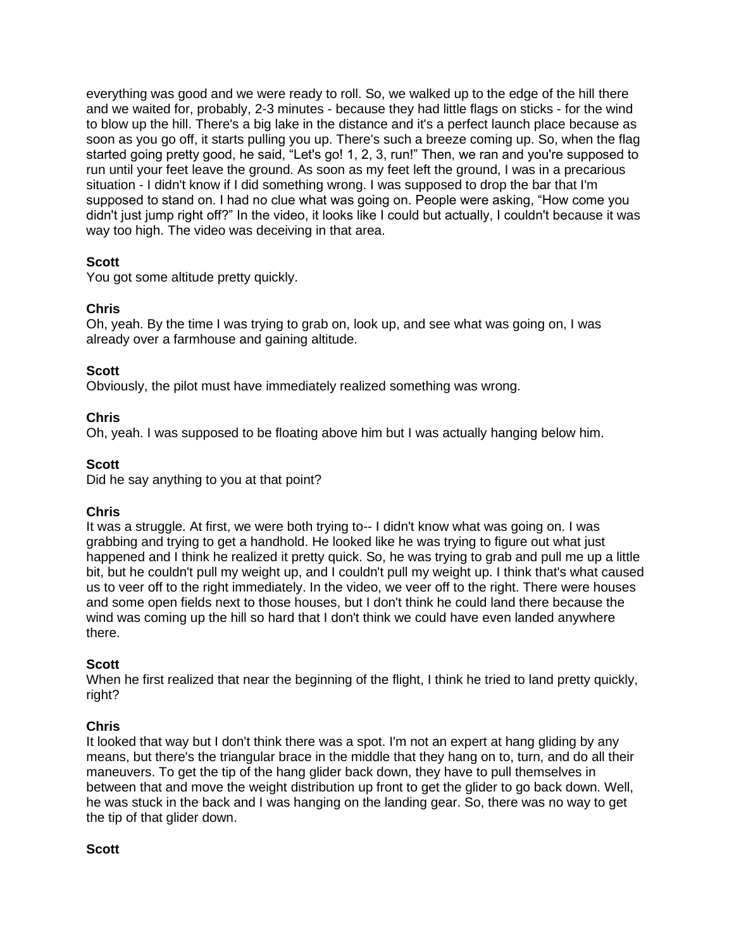everything was good and we were ready to roll. So, we walked up to the edge of the hill there and we waited for, probably, 2-3 minutes - because they had little flags on sticks - for the wind to blow up the hill. There's a big lake in the distance and it's a perfect launch place because as soon as you go off, it starts pulling you up. There's such a breeze coming up. So, when the flag started going pretty good, he said, "Let's go! 1, 2, 3, run!" Then, we ran and you're supposed to run until your feet leave the ground. As soon as my feet left the ground, I was in a precarious situation - I didn't know if I did something wrong. I was supposed to drop the bar that I'm supposed to stand on. I had no clue what was going on. People were asking, "How come you didn't just jump right off?" In the video, it looks like I could but actually, I couldn't because it was way too high. The video was deceiving in that area.

# **Scott**

You got some altitude pretty quickly.

# **Chris**

Oh, yeah. By the time I was trying to grab on, look up, and see what was going on, I was already over a farmhouse and gaining altitude.

# **Scott**

Obviously, the pilot must have immediately realized something was wrong.

# **Chris**

Oh, yeah. I was supposed to be floating above him but I was actually hanging below him.

# **Scott**

Did he say anything to you at that point?

## **Chris**

It was a struggle. At first, we were both trying to-- I didn't know what was going on. I was grabbing and trying to get a handhold. He looked like he was trying to figure out what just happened and I think he realized it pretty quick. So, he was trying to grab and pull me up a little bit, but he couldn't pull my weight up, and I couldn't pull my weight up. I think that's what caused us to veer off to the right immediately. In the video, we veer off to the right. There were houses and some open fields next to those houses, but I don't think he could land there because the wind was coming up the hill so hard that I don't think we could have even landed anywhere there.

## **Scott**

When he first realized that near the beginning of the flight, I think he tried to land pretty quickly, right?

# **Chris**

It looked that way but I don't think there was a spot. I'm not an expert at hang gliding by any means, but there's the triangular brace in the middle that they hang on to, turn, and do all their maneuvers. To get the tip of the hang glider back down, they have to pull themselves in between that and move the weight distribution up front to get the glider to go back down. Well, he was stuck in the back and I was hanging on the landing gear. So, there was no way to get the tip of that glider down.

## **Scott**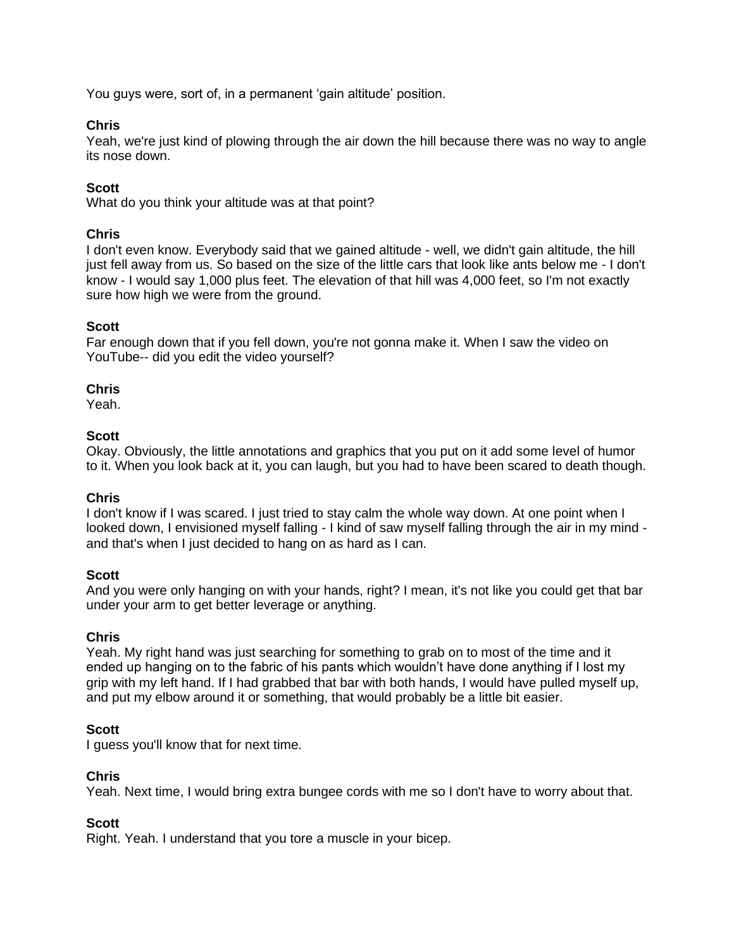You guys were, sort of, in a permanent 'gain altitude' position.

# **Chris**

Yeah, we're just kind of plowing through the air down the hill because there was no way to angle its nose down.

# **Scott**

What do you think your altitude was at that point?

## **Chris**

I don't even know. Everybody said that we gained altitude - well, we didn't gain altitude, the hill just fell away from us. So based on the size of the little cars that look like ants below me - I don't know - I would say 1,000 plus feet. The elevation of that hill was 4,000 feet, so I'm not exactly sure how high we were from the ground.

### **Scott**

Far enough down that if you fell down, you're not gonna make it. When I saw the video on YouTube-- did you edit the video yourself?

### **Chris**

Yeah.

### **Scott**

Okay. Obviously, the little annotations and graphics that you put on it add some level of humor to it. When you look back at it, you can laugh, but you had to have been scared to death though.

#### **Chris**

I don't know if I was scared. I just tried to stay calm the whole way down. At one point when I looked down, I envisioned myself falling - I kind of saw myself falling through the air in my mind and that's when I just decided to hang on as hard as I can.

#### **Scott**

And you were only hanging on with your hands, right? I mean, it's not like you could get that bar under your arm to get better leverage or anything.

#### **Chris**

Yeah. My right hand was just searching for something to grab on to most of the time and it ended up hanging on to the fabric of his pants which wouldn't have done anything if I lost my grip with my left hand. If I had grabbed that bar with both hands, I would have pulled myself up, and put my elbow around it or something, that would probably be a little bit easier.

#### **Scott**

I guess you'll know that for next time.

#### **Chris**

Yeah. Next time, I would bring extra bungee cords with me so I don't have to worry about that.

## **Scott**

Right. Yeah. I understand that you tore a muscle in your bicep.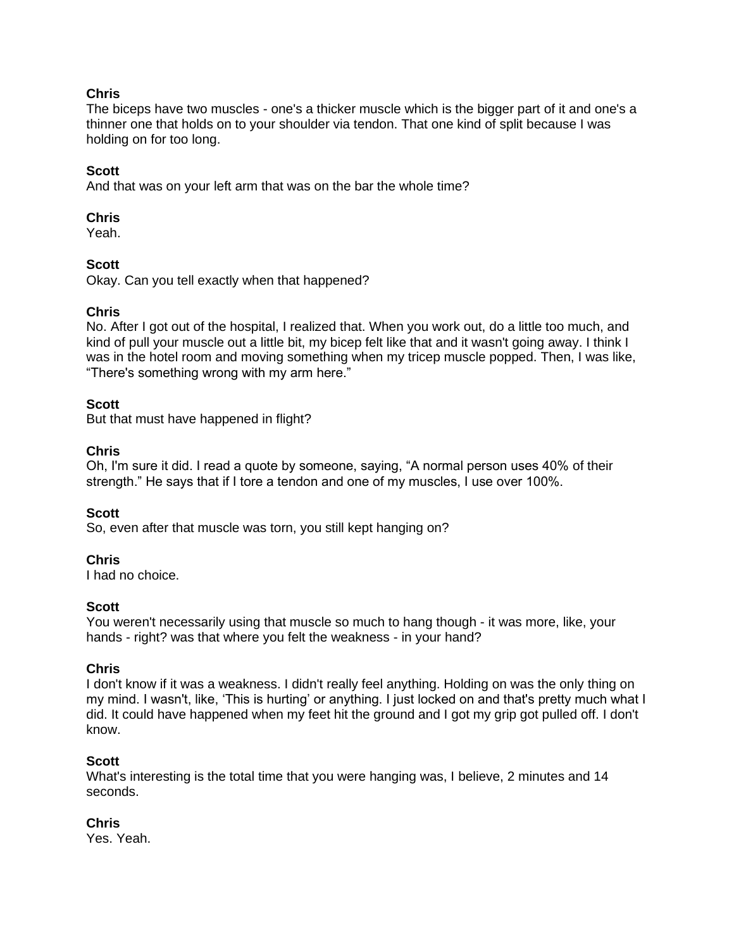The biceps have two muscles - one's a thicker muscle which is the bigger part of it and one's a thinner one that holds on to your shoulder via tendon. That one kind of split because I was holding on for too long.

# **Scott**

And that was on your left arm that was on the bar the whole time?

# **Chris**

Yeah.

# **Scott**

Okay. Can you tell exactly when that happened?

# **Chris**

No. After I got out of the hospital, I realized that. When you work out, do a little too much, and kind of pull your muscle out a little bit, my bicep felt like that and it wasn't going away. I think I was in the hotel room and moving something when my tricep muscle popped. Then, I was like, "There's something wrong with my arm here."

## **Scott**

But that must have happened in flight?

## **Chris**

Oh, I'm sure it did. I read a quote by someone, saying, "A normal person uses 40% of their strength." He says that if I tore a tendon and one of my muscles, I use over 100%.

## **Scott**

So, even after that muscle was torn, you still kept hanging on?

## **Chris**

I had no choice.

## **Scott**

You weren't necessarily using that muscle so much to hang though - it was more, like, your hands - right? was that where you felt the weakness - in your hand?

## **Chris**

I don't know if it was a weakness. I didn't really feel anything. Holding on was the only thing on my mind. I wasn't, like, 'This is hurting' or anything. I just locked on and that's pretty much what I did. It could have happened when my feet hit the ground and I got my grip got pulled off. I don't know.

## **Scott**

What's interesting is the total time that you were hanging was, I believe, 2 minutes and 14 seconds.

## **Chris**

Yes. Yeah.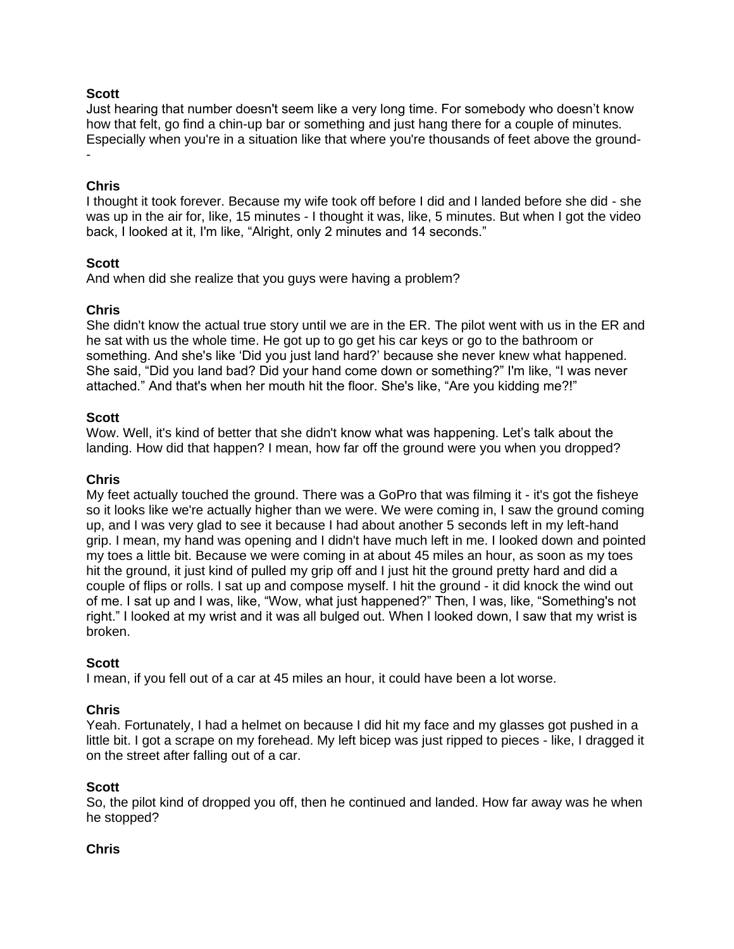## **Scott**

Just hearing that number doesn't seem like a very long time. For somebody who doesn't know how that felt, go find a chin-up bar or something and just hang there for a couple of minutes. Especially when you're in a situation like that where you're thousands of feet above the ground- -

#### **Chris**

I thought it took forever. Because my wife took off before I did and I landed before she did - she was up in the air for, like, 15 minutes - I thought it was, like, 5 minutes. But when I got the video back, I looked at it, I'm like, "Alright, only 2 minutes and 14 seconds."

#### **Scott**

And when did she realize that you guys were having a problem?

### **Chris**

She didn't know the actual true story until we are in the ER. The pilot went with us in the ER and he sat with us the whole time. He got up to go get his car keys or go to the bathroom or something. And she's like 'Did you just land hard?' because she never knew what happened. She said, "Did you land bad? Did your hand come down or something?" I'm like, "I was never attached." And that's when her mouth hit the floor. She's like, "Are you kidding me?!"

#### **Scott**

Wow. Well, it's kind of better that she didn't know what was happening. Let's talk about the landing. How did that happen? I mean, how far off the ground were you when you dropped?

#### **Chris**

My feet actually touched the ground. There was a GoPro that was filming it - it's got the fisheye so it looks like we're actually higher than we were. We were coming in, I saw the ground coming up, and I was very glad to see it because I had about another 5 seconds left in my left-hand grip. I mean, my hand was opening and I didn't have much left in me. I looked down and pointed my toes a little bit. Because we were coming in at about 45 miles an hour, as soon as my toes hit the ground, it just kind of pulled my grip off and I just hit the ground pretty hard and did a couple of flips or rolls. I sat up and compose myself. I hit the ground - it did knock the wind out of me. I sat up and I was, like, "Wow, what just happened?" Then, I was, like, "Something's not right." I looked at my wrist and it was all bulged out. When I looked down, I saw that my wrist is broken.

#### **Scott**

I mean, if you fell out of a car at 45 miles an hour, it could have been a lot worse.

## **Chris**

Yeah. Fortunately, I had a helmet on because I did hit my face and my glasses got pushed in a little bit. I got a scrape on my forehead. My left bicep was just ripped to pieces - like, I dragged it on the street after falling out of a car.

#### **Scott**

So, the pilot kind of dropped you off, then he continued and landed. How far away was he when he stopped?

#### **Chris**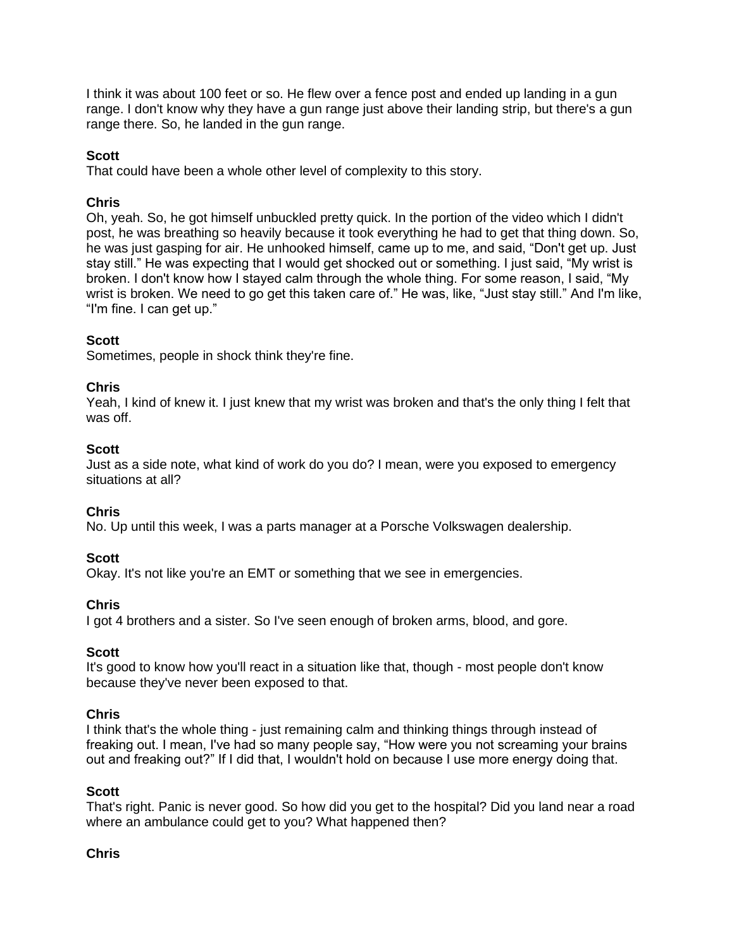I think it was about 100 feet or so. He flew over a fence post and ended up landing in a gun range. I don't know why they have a gun range just above their landing strip, but there's a gun range there. So, he landed in the gun range.

# **Scott**

That could have been a whole other level of complexity to this story.

# **Chris**

Oh, yeah. So, he got himself unbuckled pretty quick. In the portion of the video which I didn't post, he was breathing so heavily because it took everything he had to get that thing down. So, he was just gasping for air. He unhooked himself, came up to me, and said, "Don't get up. Just stay still." He was expecting that I would get shocked out or something. I just said, "My wrist is broken. I don't know how I stayed calm through the whole thing. For some reason, I said, "My wrist is broken. We need to go get this taken care of." He was, like, "Just stay still." And I'm like, "I'm fine. I can get up."

# **Scott**

Sometimes, people in shock think they're fine.

## **Chris**

Yeah, I kind of knew it. I just knew that my wrist was broken and that's the only thing I felt that was off.

## **Scott**

Just as a side note, what kind of work do you do? I mean, were you exposed to emergency situations at all?

## **Chris**

No. Up until this week, I was a parts manager at a Porsche Volkswagen dealership.

## **Scott**

Okay. It's not like you're an EMT or something that we see in emergencies.

## **Chris**

I got 4 brothers and a sister. So I've seen enough of broken arms, blood, and gore.

## **Scott**

It's good to know how you'll react in a situation like that, though - most people don't know because they've never been exposed to that.

## **Chris**

I think that's the whole thing - just remaining calm and thinking things through instead of freaking out. I mean, I've had so many people say, "How were you not screaming your brains out and freaking out?" If I did that, I wouldn't hold on because I use more energy doing that.

#### **Scott**

That's right. Panic is never good. So how did you get to the hospital? Did you land near a road where an ambulance could get to you? What happened then?

## **Chris**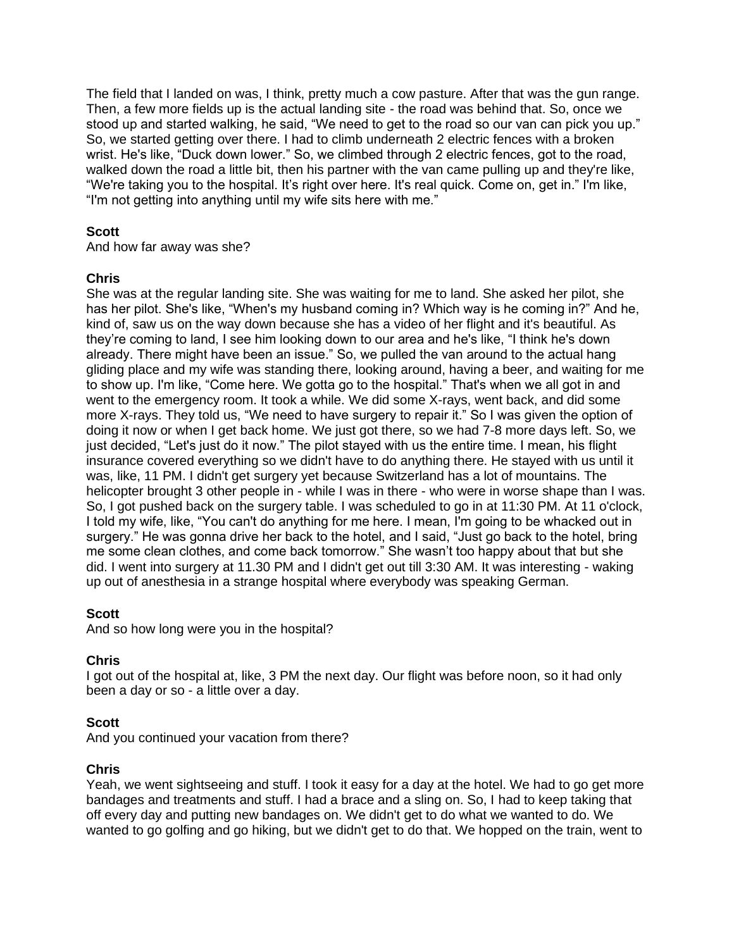The field that I landed on was, I think, pretty much a cow pasture. After that was the gun range. Then, a few more fields up is the actual landing site - the road was behind that. So, once we stood up and started walking, he said, "We need to get to the road so our van can pick you up." So, we started getting over there. I had to climb underneath 2 electric fences with a broken wrist. He's like, "Duck down lower." So, we climbed through 2 electric fences, got to the road, walked down the road a little bit, then his partner with the van came pulling up and they're like, "We're taking you to the hospital. It's right over here. It's real quick. Come on, get in." I'm like, "I'm not getting into anything until my wife sits here with me."

# **Scott**

And how far away was she?

## **Chris**

She was at the regular landing site. She was waiting for me to land. She asked her pilot, she has her pilot. She's like, "When's my husband coming in? Which way is he coming in?" And he, kind of, saw us on the way down because she has a video of her flight and it's beautiful. As they're coming to land, I see him looking down to our area and he's like, "I think he's down already. There might have been an issue." So, we pulled the van around to the actual hang gliding place and my wife was standing there, looking around, having a beer, and waiting for me to show up. I'm like, "Come here. We gotta go to the hospital." That's when we all got in and went to the emergency room. It took a while. We did some X-rays, went back, and did some more X-rays. They told us, "We need to have surgery to repair it." So I was given the option of doing it now or when I get back home. We just got there, so we had 7-8 more days left. So, we just decided, "Let's just do it now." The pilot stayed with us the entire time. I mean, his flight insurance covered everything so we didn't have to do anything there. He stayed with us until it was, like, 11 PM. I didn't get surgery yet because Switzerland has a lot of mountains. The helicopter brought 3 other people in - while I was in there - who were in worse shape than I was. So, I got pushed back on the surgery table. I was scheduled to go in at 11:30 PM. At 11 o'clock, I told my wife, like, "You can't do anything for me here. I mean, I'm going to be whacked out in surgery." He was gonna drive her back to the hotel, and I said, "Just go back to the hotel, bring me some clean clothes, and come back tomorrow." She wasn't too happy about that but she did. I went into surgery at 11.30 PM and I didn't get out till 3:30 AM. It was interesting - waking up out of anesthesia in a strange hospital where everybody was speaking German.

## **Scott**

And so how long were you in the hospital?

## **Chris**

I got out of the hospital at, like, 3 PM the next day. Our flight was before noon, so it had only been a day or so - a little over a day.

## **Scott**

And you continued your vacation from there?

## **Chris**

Yeah, we went sightseeing and stuff. I took it easy for a day at the hotel. We had to go get more bandages and treatments and stuff. I had a brace and a sling on. So, I had to keep taking that off every day and putting new bandages on. We didn't get to do what we wanted to do. We wanted to go golfing and go hiking, but we didn't get to do that. We hopped on the train, went to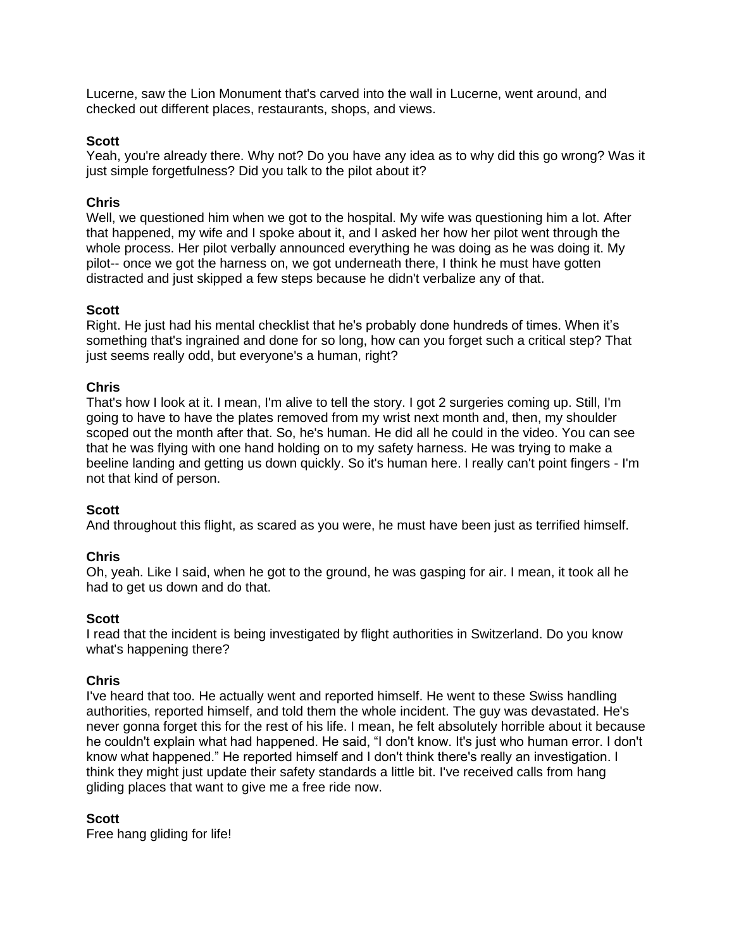Lucerne, saw the Lion Monument that's carved into the wall in Lucerne, went around, and checked out different places, restaurants, shops, and views.

### **Scott**

Yeah, you're already there. Why not? Do you have any idea as to why did this go wrong? Was it just simple forgetfulness? Did you talk to the pilot about it?

### **Chris**

Well, we questioned him when we got to the hospital. My wife was questioning him a lot. After that happened, my wife and I spoke about it, and I asked her how her pilot went through the whole process. Her pilot verbally announced everything he was doing as he was doing it. My pilot-- once we got the harness on, we got underneath there, I think he must have gotten distracted and just skipped a few steps because he didn't verbalize any of that.

### **Scott**

Right. He just had his mental checklist that he's probably done hundreds of times. When it's something that's ingrained and done for so long, how can you forget such a critical step? That just seems really odd, but everyone's a human, right?

### **Chris**

That's how I look at it. I mean, I'm alive to tell the story. I got 2 surgeries coming up. Still, I'm going to have to have the plates removed from my wrist next month and, then, my shoulder scoped out the month after that. So, he's human. He did all he could in the video. You can see that he was flying with one hand holding on to my safety harness. He was trying to make a beeline landing and getting us down quickly. So it's human here. I really can't point fingers - I'm not that kind of person.

#### **Scott**

And throughout this flight, as scared as you were, he must have been just as terrified himself.

#### **Chris**

Oh, yeah. Like I said, when he got to the ground, he was gasping for air. I mean, it took all he had to get us down and do that.

#### **Scott**

I read that the incident is being investigated by flight authorities in Switzerland. Do you know what's happening there?

#### **Chris**

I've heard that too. He actually went and reported himself. He went to these Swiss handling authorities, reported himself, and told them the whole incident. The guy was devastated. He's never gonna forget this for the rest of his life. I mean, he felt absolutely horrible about it because he couldn't explain what had happened. He said, "I don't know. It's just who human error. I don't know what happened." He reported himself and I don't think there's really an investigation. I think they might just update their safety standards a little bit. I've received calls from hang gliding places that want to give me a free ride now.

#### **Scott**

Free hang gliding for life!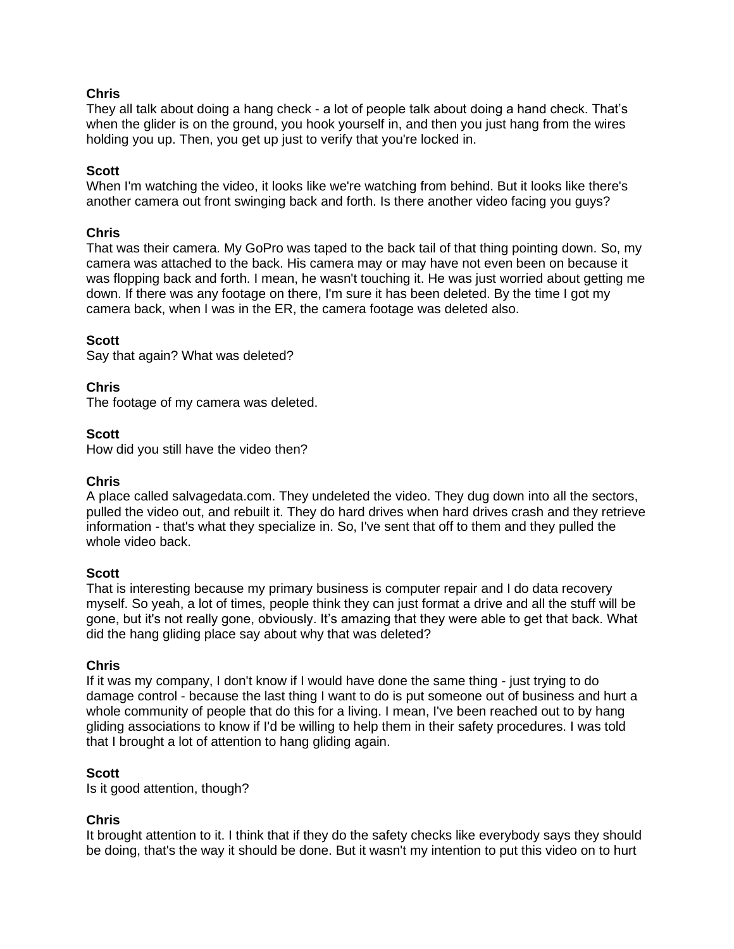They all talk about doing a hang check - a lot of people talk about doing a hand check. That's when the glider is on the ground, you hook yourself in, and then you just hang from the wires holding you up. Then, you get up just to verify that you're locked in.

#### **Scott**

When I'm watching the video, it looks like we're watching from behind. But it looks like there's another camera out front swinging back and forth. Is there another video facing you guys?

#### **Chris**

That was their camera. My GoPro was taped to the back tail of that thing pointing down. So, my camera was attached to the back. His camera may or may have not even been on because it was flopping back and forth. I mean, he wasn't touching it. He was just worried about getting me down. If there was any footage on there, I'm sure it has been deleted. By the time I got my camera back, when I was in the ER, the camera footage was deleted also.

#### **Scott**

Say that again? What was deleted?

#### **Chris**

The footage of my camera was deleted.

#### **Scott**

How did you still have the video then?

#### **Chris**

A place called salvagedata.com. They undeleted the video. They dug down into all the sectors, pulled the video out, and rebuilt it. They do hard drives when hard drives crash and they retrieve information - that's what they specialize in. So, I've sent that off to them and they pulled the whole video back.

#### **Scott**

That is interesting because my primary business is computer repair and I do data recovery myself. So yeah, a lot of times, people think they can just format a drive and all the stuff will be gone, but it's not really gone, obviously. It's amazing that they were able to get that back. What did the hang gliding place say about why that was deleted?

#### **Chris**

If it was my company, I don't know if I would have done the same thing - just trying to do damage control - because the last thing I want to do is put someone out of business and hurt a whole community of people that do this for a living. I mean, I've been reached out to by hang gliding associations to know if I'd be willing to help them in their safety procedures. I was told that I brought a lot of attention to hang gliding again.

#### **Scott**

Is it good attention, though?

### **Chris**

It brought attention to it. I think that if they do the safety checks like everybody says they should be doing, that's the way it should be done. But it wasn't my intention to put this video on to hurt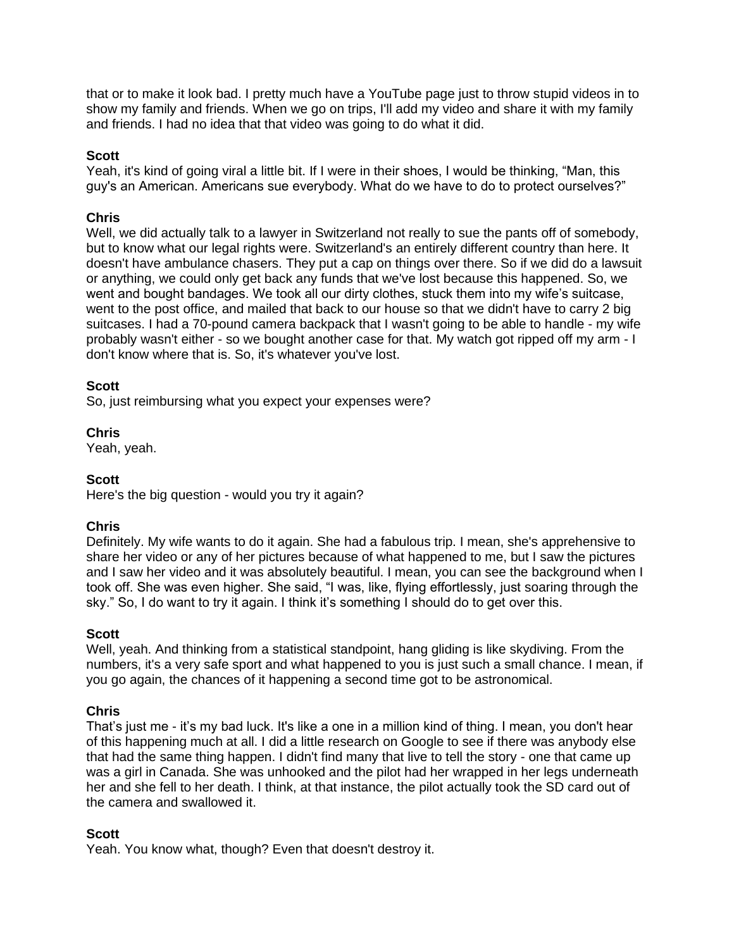that or to make it look bad. I pretty much have a YouTube page just to throw stupid videos in to show my family and friends. When we go on trips, I'll add my video and share it with my family and friends. I had no idea that that video was going to do what it did.

### **Scott**

Yeah, it's kind of going viral a little bit. If I were in their shoes, I would be thinking, "Man, this guy's an American. Americans sue everybody. What do we have to do to protect ourselves?"

### **Chris**

Well, we did actually talk to a lawyer in Switzerland not really to sue the pants off of somebody, but to know what our legal rights were. Switzerland's an entirely different country than here. It doesn't have ambulance chasers. They put a cap on things over there. So if we did do a lawsuit or anything, we could only get back any funds that we've lost because this happened. So, we went and bought bandages. We took all our dirty clothes, stuck them into my wife's suitcase, went to the post office, and mailed that back to our house so that we didn't have to carry 2 big suitcases. I had a 70-pound camera backpack that I wasn't going to be able to handle - my wife probably wasn't either - so we bought another case for that. My watch got ripped off my arm - I don't know where that is. So, it's whatever you've lost.

### **Scott**

So, just reimbursing what you expect your expenses were?

**Chris**

Yeah, yeah.

#### **Scott**

Here's the big question - would you try it again?

## **Chris**

Definitely. My wife wants to do it again. She had a fabulous trip. I mean, she's apprehensive to share her video or any of her pictures because of what happened to me, but I saw the pictures and I saw her video and it was absolutely beautiful. I mean, you can see the background when I took off. She was even higher. She said, "I was, like, flying effortlessly, just soaring through the sky." So, I do want to try it again. I think it's something I should do to get over this.

#### **Scott**

Well, yeah. And thinking from a statistical standpoint, hang gliding is like skydiving. From the numbers, it's a very safe sport and what happened to you is just such a small chance. I mean, if you go again, the chances of it happening a second time got to be astronomical.

#### **Chris**

That's just me - it's my bad luck. It's like a one in a million kind of thing. I mean, you don't hear of this happening much at all. I did a little research on Google to see if there was anybody else that had the same thing happen. I didn't find many that live to tell the story - one that came up was a girl in Canada. She was unhooked and the pilot had her wrapped in her legs underneath her and she fell to her death. I think, at that instance, the pilot actually took the SD card out of the camera and swallowed it.

#### **Scott**

Yeah. You know what, though? Even that doesn't destroy it.